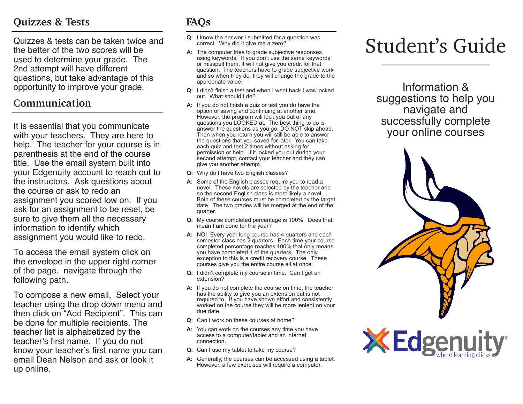## **Quizzes & Tests**

Quizzes & tests can be taken twice and the better of the two scores will be used to determine your grade. The 2nd attempt will have different questions, but take advantage of this opportunity to improve your grade.

### **Communication**

It is essential that you communicate<br>with your teachers They are here to Then when you return you will still be able to answer<br>Then when you return you will still be able to answer<br>Sour Online COUISES with your teachers. They are here to help. The teacher for your course is in parenthesis at the end of the course title. Use the email system built into your Edgenuity account to reach out to the instructors. Ask questions about the course or ask to redo an assignment you scored low on. If you ask for an assignment to be reset, be sure to give them all the necessary information to identify which assignment you would like to redo.

To access the email system click on the envelope in the upper right corner of the page. navigate through the following path.

To compose a new email, Select your teacher using the drop down menu and then click on "Add Recipient". This can be done for multiple recipients. The teacher list is alphabetized by the teacher's first name. If you do not know your teacher's first name you can email Dean Nelson and ask or look it up online.

## **FAQs**

- **Q:** I know the answer I submitted for a question was correct. Why did it give me a zero?
- **A:** The computer tries to grade subjective responses using keywords. If you don't use the same keywords or misspell them, it will not give you credit for that question. The teachers have to grade subjective work and so when they do, they will change the grade to the appropriate value.
- **Q:** I didn't finish a test and when I went back I was locked out. What should I do?
- **A:** If you do not finish a quiz or test you do have the option of saving and continuing at another time. However, the program will lock you out of any questions you LOOKED at. The best thing to do is answer the questions as you go. DO NOT skip ahead. Then when you return you will still be able to answer the questions that you saved for later. You can take each quiz and test 2 times without asking for permission or help. If it locked you out during your second attempt, contact your teacher and they can give you another attempt.
- **Q:** Why do I have two English classes?
- **A:** Some of the English classes require you to read a novel. These novels are selected by the teacher and so the second English class is most likely a novel. Both of these courses must be completed by the target date. The two grades will be merged at the end of the quarter.
- **Q:** My course completed percentage is 100%. Does that mean I am done for the year?
- **A:** NO! Every year long course has 4 quarters and each semester class has 2 quarters. Each time your course completed percentage reaches 100% that only means you have completed 1 of the quarters. The only exception to this is a credit recovery course. These courses give you the entire course all at once.
- **Q:** I didn't complete my course in time. Can I get an extension?
- **A:** If you do not complete the course on time, the teacher has the ability to give you an extension but is not required to. If you have shown effort and consistently worked on the course they will be more lenient on your due date.
- **Q:** Can I work on these courses at home?
- **A:** You can work on the courses any time you have access to a computer/tablet and an internet connection.
- **Q:** Can I use my tablet to take my course?
- **A:** Generally, the courses can be accessed using a tablet. However, a few exercises will require a computer.

# Student's Guide

Information & suggestions to help you navigate and successfully complete